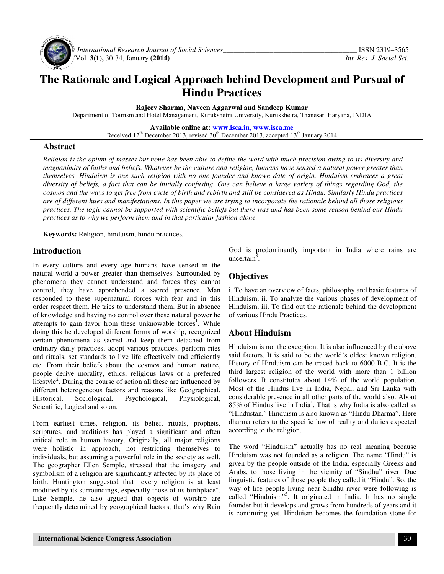

 *International Research Journal of Social Sciences\_\_\_\_\_\_\_\_\_\_\_\_\_\_\_\_\_\_\_\_\_\_\_\_\_\_\_\_\_\_\_\_\_\_\_\_\_* ISSN 2319–3565 Vol. **3(1),** 30-34, January **(2014)** *Int. Res. J. Social Sci.*

# **The Rationale and Logical Approach behind Development and Pursual of Hindu Practices**

**Rajeev Sharma, Naveen Aggarwal and Sandeep Kumar** 

Department of Tourism and Hotel Management, Kurukshetra University, Kurukshetra, Thanesar, Haryana, INDIA

**Available online at: www.isca.in, www.isca.me** Received 12<sup>th</sup> December 2013, revised 30<sup>th</sup> December 2013, accepted 13<sup>th</sup> January 2014

## **Abstract**

*Religion is the opium of masses but none has been able to define the word with much precision owing to its diversity and magnanimity of faiths and beliefs. Whatever be the culture and religion, humans have sensed a natural power greater than themselves. Hinduism is one such religion with no one founder and known date of origin. Hinduism embraces a great diversity of beliefs, a fact that can be initially confusing. One can believe a large variety of things regarding God, the cosmos and the ways to get free from cycle of birth and rebirth and still be considered as Hindu. Similarly Hindu practices are of different hues and manifestations. In this paper we are trying to incorporate the rationale behind all those religious practices. The logic cannot be supported with scientific beliefs but there was and has been some reason behind our Hindu practices as to why we perform them and in that particular fashion alone.* 

**Keywords:** Religion, hinduism, hindu practices*.*

## **Introduction**

In every culture and every age humans have sensed in the natural world a power greater than themselves. Surrounded by phenomena they cannot understand and forces they cannot control, they have apprehended a sacred presence. Man responded to these supernatural forces with fear and in this order respect them. He tries to understand them. But in absence of knowledge and having no control over these natural power he attempts to gain favor from these unknowable forces<sup>1</sup>. While doing this he developed different forms of worship, recognized certain phenomena as sacred and keep them detached from ordinary daily practices, adopt various practices, perform rites and rituals, set standards to live life effectively and efficiently etc. From their beliefs about the cosmos and human nature, people derive morality, ethics, religious laws or a preferred lifestyle<sup>2</sup>. During the course of action all these are influenced by different heterogeneous factors and reasons like Geographical, Historical, Sociological, Psychological, Physiological, Scientific, Logical and so on.

From earliest times, religion, its belief, rituals, prophets, scriptures, and traditions has played a significant and often critical role in human history. Originally, all major religions were holistic in approach, not restricting themselves to individuals, but assuming a powerful role in the society as well. The geographer Ellen Semple, stressed that the imagery and symbolism of a religion are significantly affected by its place of birth. Huntington suggested that "every religion is at least modified by its surroundings, especially those of its birthplace". Like Semple, he also argued that objects of worship are frequently determined by geographical factors, that's why Rain God is predominantly important in India where rains are uncertain $^{\bar{3}}$ .

#### **Objectives**

i. To have an overview of facts, philosophy and basic features of Hinduism. ii. To analyze the various phases of development of Hinduism. iii. To find out the rationale behind the development of various Hindu Practices.

# **About Hinduism**

Hinduism is not the exception. It is also influenced by the above said factors. It is said to be the world's oldest known religion. History of Hinduism can be traced back to 6000 B.C. It is the third largest religion of the world with more than 1 billion followers. It constitutes about 14% of the world population. Most of the Hindus live in India, Nepal, and Sri Lanka with considerable presence in all other parts of the world also. About 85% of Hindus live in India<sup>4</sup>. That is why India is also called as "Hindustan." Hinduism is also known as "Hindu Dharma". Here dharma refers to the specific law of reality and duties expected according to the religion.

The word "Hinduism" actually has no real meaning because Hinduism was not founded as a religion. The name "Hindu" is given by the people outside of the India, especially Greeks and Arabs, to those living in the vicinity of "Sindhu" river. Due linguistic features of those people they called it "Hindu". So, the way of life people living near Sindhu river were following is called "Hinduism"<sup>5</sup>. It originated in India. It has no single founder but it develops and grows from hundreds of years and it is continuing yet. Hinduism becomes the foundation stone for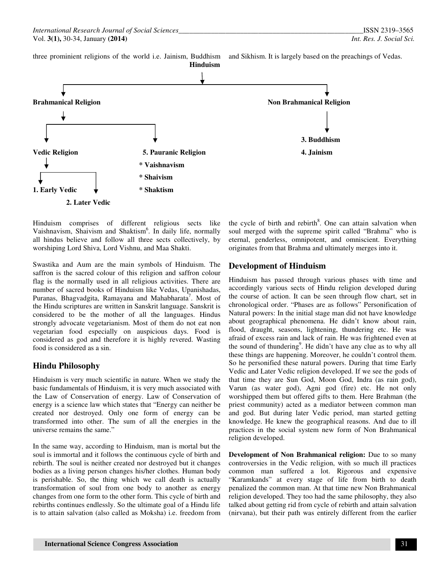three prominient religions of the world i.e. Jainism, Buddhism and Sikhism. It is largely based on the preachings of Vedas.





Hinduism comprises of different religious sects like Vaishnavism, Shaivism and Shaktism<sup>6</sup>. In daily life, normally all hindus believe and follow all three sects collectively, by worshiping Lord Shiva, Lord Vishnu, and Maa Shakti.

Swastika and Aum are the main symbols of Hinduism. The saffron is the sacred colour of this religion and saffron colour flag is the normally used in all religious activities. There are number of sacred books of Hinduism like Vedas, Upanishadas, Puranas, Bhagvadgita, Ramayana and Mahabharata<sup>7</sup>. Most of the Hindu scriptures are written in Sanskrit language. Sanskrit is considered to be the mother of all the languages. Hindus strongly advocate vegetarianism. Most of them do not eat non vegetarian food especially on auspicious days. Food is considered as god and therefore it is highly revered. Wasting food is considered as a sin.

# **Hindu Philosophy**

Hinduism is very much scientific in nature. When we study the basic fundamentals of Hinduism, it is very much associated with the Law of Conservation of energy. Law of Conservation of energy is a science law which states that "Energy can neither be created nor destroyed. Only one form of energy can be transformed into other. The sum of all the energies in the universe remains the same."

In the same way, according to Hinduism, man is mortal but the soul is immortal and it follows the continuous cycle of birth and rebirth. The soul is neither created nor destroyed but it changes bodies as a living person changes his/her clothes. Human body is perishable. So, the thing which we call death is actually transformation of soul from one body to another as energy changes from one form to the other form. This cycle of birth and rebirths continues endlessly. So the ultimate goal of a Hindu life is to attain salvation (also called as Moksha) i.e. freedom from

the cycle of birth and rebirth<sup>8</sup>. One can attain salvation when soul merged with the supreme spirit called "Brahma" who is eternal, genderless, omnipotent, and omniscient. Everything originates from that Brahma and ultimately merges into it.

## **Development of Hinduism**

Hinduism has passed through various phases with time and accordingly various sects of Hindu religion developed during the course of action. It can be seen through flow chart, set in chronological order. "Phases are as follows" Personification of Natural powers: In the initial stage man did not have knowledge about geographical phenomena. He didn't know about rain, flood, draught, seasons, lightening, thundering etc. He was afraid of excess rain and lack of rain. He was frightened even at the sound of thundering<sup>9</sup>. He didn't have any clue as to why all these things are happening. Moreover, he couldn't control them. So he personified these natural powers. During that time Early Vedic and Later Vedic religion developed. If we see the gods of that time they are Sun God, Moon God, Indra (as rain god), Varun (as water god), Agni god (fire) etc. He not only worshipped them but offered gifts to them. Here Brahman (the priest community) acted as a mediator between common man and god. But during later Vedic period, man started getting knowledge. He knew the geographical reasons. And due to ill practices in the social system new form of Non Brahmanical religion developed.

**Development of Non Brahmanical religion:** Due to so many controversies in the Vedic religion, with so much ill practices common man suffered a lot. Rigorous and expensive "Karamkands" at every stage of life from birth to death penalized the common man. At that time new Non Brahmanical religion developed. They too had the same philosophy, they also talked about getting rid from cycle of rebirth and attain salvation (nirvana), but their path was entirely different from the earlier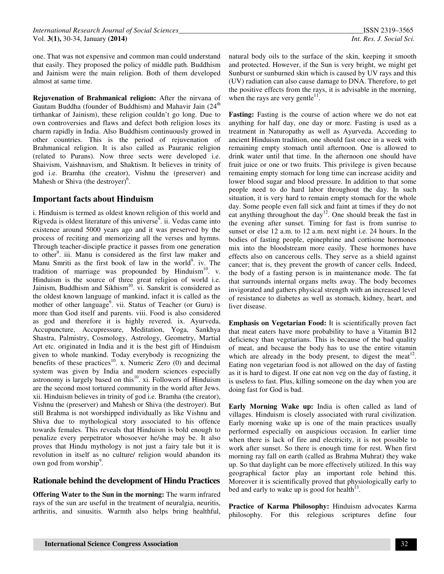one. That was not expensive and common man could understand that easily. They proposed the policy of middle path. Buddhism and Jainism were the main religion. Both of them developed almost at same time.

**Rejuvenation of Brahmanical religion:** After the nirvana of Gautam Buddha (founder of Buddhism) and Mahavir Jain (24<sup>th</sup>) tirthankar of Jainism), these religion couldn't go long. Due to own controversies and flaws and defect both religion loses its charm rapidly in India. Also Buddhism continuously growed in other countries. This is the period of rejuvenation of Brahmanical religion. It is also called as Pauranic religion (related to Purans). Now three sects were developed i.e. Shaivism, Vaishnavism, and Shaktism. It believes in trinity of god i.e. Bramha (the creator), Vishnu the (preserver) and Mahesh or Shiva (the destroyer)<sup>6</sup>.

#### **Important facts about Hinduism**

i. Hinduism is termed as oldest known religion of this world and Rigveda is oldest literature of this universe $\overline{S}$ . ii. Vedas came into existence around 5000 years ago and it was preserved by the process of reciting and memorizing all the verses and hymns. Through teacher-disciple practice it passes from one generation to other<sup>9</sup>. iii. Manu is considered as the first law maker and Manu Smriti as the first book of law in the world<sup>9</sup>. iv. The tradition of marriage was propounded by Hinduism<sup>10</sup>. v. Hinduism is the source of three great religion of world i.e. Jainism, Buddhism and Sikhism<sup>10</sup>. vi. Sanskrit is considered as the oldest known language of mankind, infact it is called as the mother of other language<sup>9</sup>. vii. Status of Teacher (or Guru) is more than God itself and parents. viii. Food is also considered as god and therefore it is highly revered. ix. Ayurveda, Accupuncture, Accupressure, Meditation, Yoga, Sankhya Shastra, Palmistry, Cosmology, Astrology, Geometry, Martial Art etc. originated in India and it is the best gift of Hinduism given to whole mankind. Today everybody is recognizing the benefits of these practices<sup>10</sup>. x. Numeric Zero  $(0)$  and decimal system was given by India and modern sciences especially astronomy is largely based on this $^{10}$ . xi. Followers of Hinduism are the second most tortured community in the world after Jews. xii. Hinduism believes in trinity of god i.e. Bramha (the creator), Vishnu the (preserver) and Mahesh or Shiva (the destroyer). But still Brahma is not worshipped individually as like Vishnu and Shiva due to mythological story associated to his offence towards females. This reveals that Hinduism is bold enough to penalize every perpetrator whosoever he/she may be. It also proves that Hindu mythology is not just a fairy tale but it is revolution in itself as no culture/ religion would abandon its own god from worship<sup>9</sup>.

#### **Rationale behind the development of Hindu Practices**

**Offering Water to the Sun in the morning:** The warm infrared rays of the sun are useful in the treatment of neuralgia, neuritis, arthritis, and sinusitis. Warmth also helps bring healthful, natural body oils to the surface of the skin, keeping it smooth and protected. However, if the Sun is very bright, we might get Sunburst or sunburned skin which is caused by UV rays and this (UV) radiation can also cause damage to DNA. Therefore, to get the positive effects from the rays, it is advisable in the morning, when the rays are very gentle $11$ .

**Fasting:** Fasting is the course of action where we do not eat anything for half day, one day or more. Fasting is used as a treatment in Naturopathy as well as Ayurveda. According to ancient Hinduism tradition, one should fast once in a week with remaining empty stomach until afternoon. One is allowed to drink water until that time. In the afternoon one should have fruit juice or one or two fruits. This privilege is given because remaining empty stomach for long time can increase acidity and lower blood sugar and blood pressure. In addition to that some people need to do hard labor throughout the day. In such situation, it is very hard to remain empty stomach for the whole day. Some people even fall sick and faint at times if they do not eat anything throughout the day<sup>12</sup>. One should break the fast in the evening after sunset. Timing for fast is from sunrise to sunset or else 12 a.m. to 12 a.m. next night i.e. 24 hours. In the bodies of fasting people, epinephrine and cortisone hormones mix into the bloodstream more easily. These hormones have effects also on cancerous cells. They serve as a shield against cancer; that is, they prevent the growth of cancer cells. Indeed, the body of a fasting person is in maintenance mode. The fat that surrounds internal organs melts away. The body becomes invigorated and gathers physical strength with an increased level of resistance to diabetes as well as stomach, kidney, heart, and liver disease.

**Emphasis on Vegetarian Food:** It is scientifically proven fact that meat eaters have more probability to have a Vitamin B12 deficiency than vegetarians. This is because of the bad quality of meat, and because the body has to use the entire vitamin which are already in the body present, to digest the meat<sup>12</sup>. Eating non vegetarian food is not allowed on the day of fasting as it is hard to digest. If one eat non veg on the day of fasting, it is useless to fast. Plus, killing someone on the day when you are doing fast for God is bad.

**Early Morning Wake up:** India is often called as land of villages. Hinduism is closely associated with rural civilization. Early morning wake up is one of the main practices usually performed especially on auspicious occasion. In earlier time when there is lack of fire and electricity, it is not possible to work after sunset. So there is enough time for rest. When first morning ray fall on earth (called as Brahma Muhrat) they wake up. So that daylight can be more effectively utilized. In this way geographical factor play an important role behind this. Moreover it is scientifically proved that physiologically early to bed and early to wake up is good for health $^{13}$ .

**Practice of Karma Philosophy:** Hinduism advocates Karma philosophy. For this relegious scriptures define four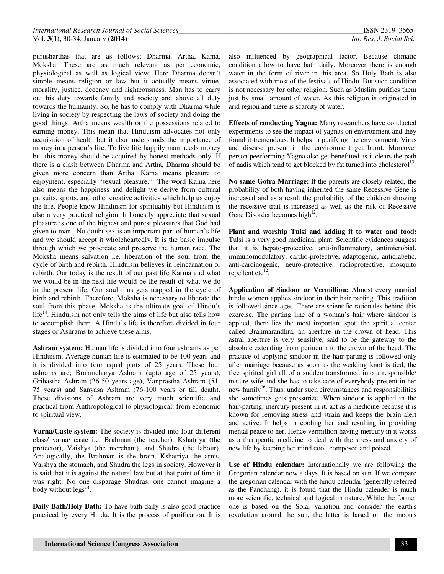purusharthas that are as follows; Dharma, Artha, Kama, Moksha. These are as much relevant as per economic, physiological as well as logical view. Here Dharma doesn't simple means religion or law but it actually means virtue, morality, justice, decency and righteousness. Man has to carry out his duty towards family and society and above all duty towards the humanity. So, he has to comply with Dharma while living in society by respecting the laws of society and doing the good things. Artha means wealth or the possessions related to earning money. This mean that Hinduism advocates not only acquisition of health but it also understands the importance of money in a person's life. To live life happily man needs money but this money should be acquired by honest methods only. If there is a clash between Dharma and Artha, Dharma should be given more concern than Artha. Kama means pleasure or enjoyment, especially "sexual pleasure." The word Kama here also means the happiness and delight we derive from cultural pursuits, sports, and other creative activities which help us enjoy the life. People know Hinduism for spirituality but Hinduism is also a very practical religion. It honestly appreciate that sexual pleasure is one of the highest and purest pleasures that God had given to man. No doubt sex is an important part of human's life and we should accept it wholeheartedly. It is the basic impulse through which we procreate and preserve the human race. The Moksha means salvation i.e. liberation of the soul from the cycle of birth and rebirth. Hinduism believes in reincarnation or rebirth. Our today is the result of our past life Karma and what we would be in the next life would be the result of what we do in the present life. Our soul thus gets trapped in the cycle of birth and rebirth. Therefore, Moksha is necessary to liberate the soul from this phase. Moksha is the ultimate goal of Hindu's  $life<sup>14</sup>$ . Hinduism not only tells the aims of life but also tells how to accomplish them. A Hindu's life is therefore divided in four stages or Ashrams to achieve these aims.

**Ashram system:** Human life is divided into four ashrams as per Hinduism. Average human life is estimated to be 100 years and it is divided into four equal parts of 25 years. These four ashrams are; Brahmcharya Ashram (upto age of 25 years), Grihastha Ashram (26-50 years age), Vanprastha Ashram (51- 75 years) and Sanyasa Ashram (76-100 years or till death). These divisions of Ashram are very much scientific and practical from Anthropological to physiological, from economic to spiritual view.

**Varna/Caste system:** The society is divided into four different class/ varna/ caste i.e. Brahman (the teacher), Kshatriya (the protector), Vaishya (the merchant), and Shudra (the labour). Analogically, the Brahman is the brain, Kshatriya the arms, Vaishya the stomach, and Shudra the legs in society. However it is said that it is against the natural law but at that point of time it was right. No one disparage Shudras, one cannot imagine a body without  $\text{legs}^{14}$ .

**Daily Bath/Holy Bath:** To have bath daily is also good practice practiced by every Hindu. It is the process of purification. It is

also influenced by geographical factor. Because climatic condition allow to have bath daily. Moreover there is enough water in the form of river in this area. So Holy Bath is also associated with most of the festivals of Hindu. But such condition is not necessary for other religion. Such as Muslim purifies them just by small amount of water. As this religion is originated in arid region and there is scarcity of water.

**Effects of conducting Yagna:** Many researchers have conducted experiments to see the impact of yagnas on environment and they found it tremendous. It helps in purifying the environment. Virus and disease present in the environment get burnt. Moreover person peerforming Yagna also get benefitted as it clears the path of nadis which tend to get blocked by fat turned into cholesterol<sup>15</sup>.

**No same Gotra Marriage:** If the parents are closely related, the probability of both having inherited the same Recessive Gene is increased and as a result the probability of the children showing the recessive trait is increased as well as the risk of Recessive Gene Disorder becomes high $12$ .

**Plant and worship Tulsi and adding it to water and food:**  Tulsi is a very good medicinal plant. Scientific evidences suggest that it is hepato-protective, anti-inflammatory, antimicrobial, immunomodulatory, cardio-protective, adaptogenic, antidiabetic, anti-carcinogenic, neuro-protective, radioprotective, mosquito repellent etc $^{\bar{1}2}$ .

**Application of Sindoor or Vermillion:** Almost every married hindu women applies sindoor in their hair parting. This tradition is followed since ages. There are scientific rationales behind this exercise. The parting line of a woman's hair where sindoor is applied, there lies the most important spot, the spiritual center called Brahmarandhra, an aperture in the crown of head. This astral aperture is very sensitive, said to be the gateway to the absolute extending from perineum to the crown of the head. The practice of applying sindoor in the hair parting is followed only after marriage because as soon as the wedding knot is tied, the free spirited girl all of a sudden transformed into a responsible/ mature wife and she has to take care of everybody present in her new family<sup>16</sup>. Thus, under such circumstances and responsibilities she sometimes gets pressurize. When sindoor is applied in the hair-parting, mercury present in it, act as a medicine because it is known for removing stress and strain and keeps the brain alert and active. It helps in cooling her and resulting in providing mental peace to her. Hence vermillion having mercury in it works as a therapeutic medicine to deal with the stress and anxiety of new life by keeping her mind cool, composed and poised.

**Use of Hindu calendar:** Internationally we are following the Gregorian calendar now a days. It is based on sun. If we compare the gregorian calendar with the hindu calendar (generally referred as the Panchang), it is found that the Hindu calender is much more scientific, technical and logical in nature. While the former one is based on the Solar variation and consider the earth's revolution around the sun, the latter is based on the moon's